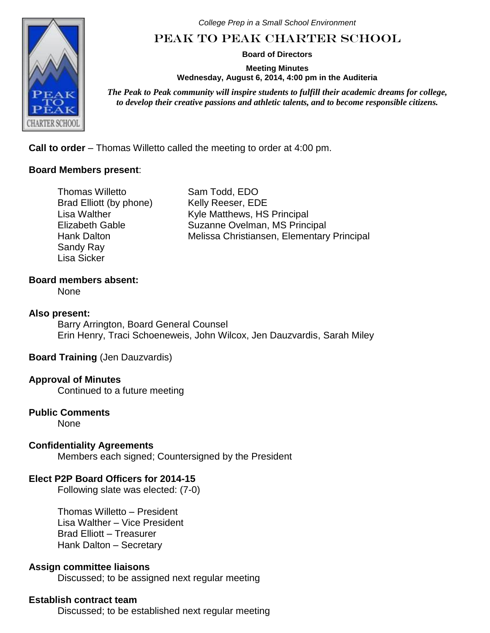

*College Prep in a Small School Environment*

# Peak to Peak Charter School

**Board of Directors**

**Meeting Minutes Wednesday, August 6, 2014, 4:00 pm in the Auditeria**

*The Peak to Peak community will inspire students to fulfill their academic dreams for college, to develop their creative passions and athletic talents, and to become responsible citizens.*

**Call to order** – Thomas Willetto called the meeting to order at 4:00 pm.

# **Board Members present**:

Thomas Willetto Brad Elliott (by phone) Lisa Walther Elizabeth Gable Hank Dalton Sandy Ray Lisa Sicker

Sam Todd, EDO Kelly Reeser, EDE Kyle Matthews, HS Principal Suzanne Ovelman, MS Principal Melissa Christiansen, Elementary Principal

#### **Board members absent:**

None

#### **Also present:**

Barry Arrington, Board General Counsel Erin Henry, Traci Schoeneweis, John Wilcox, Jen Dauzvardis, Sarah Miley

#### **Board Training** (Jen Dauzvardis)

# **Approval of Minutes**

Continued to a future meeting

# **Public Comments**

None

# **Confidentiality Agreements**

Members each signed; Countersigned by the President

# **Elect P2P Board Officers for 2014-15**

Following slate was elected: (7-0)

Thomas Willetto – President Lisa Walther – Vice President Brad Elliott – Treasurer Hank Dalton – Secretary

#### **Assign committee liaisons**

Discussed; to be assigned next regular meeting

#### **Establish contract team**

Discussed; to be established next regular meeting